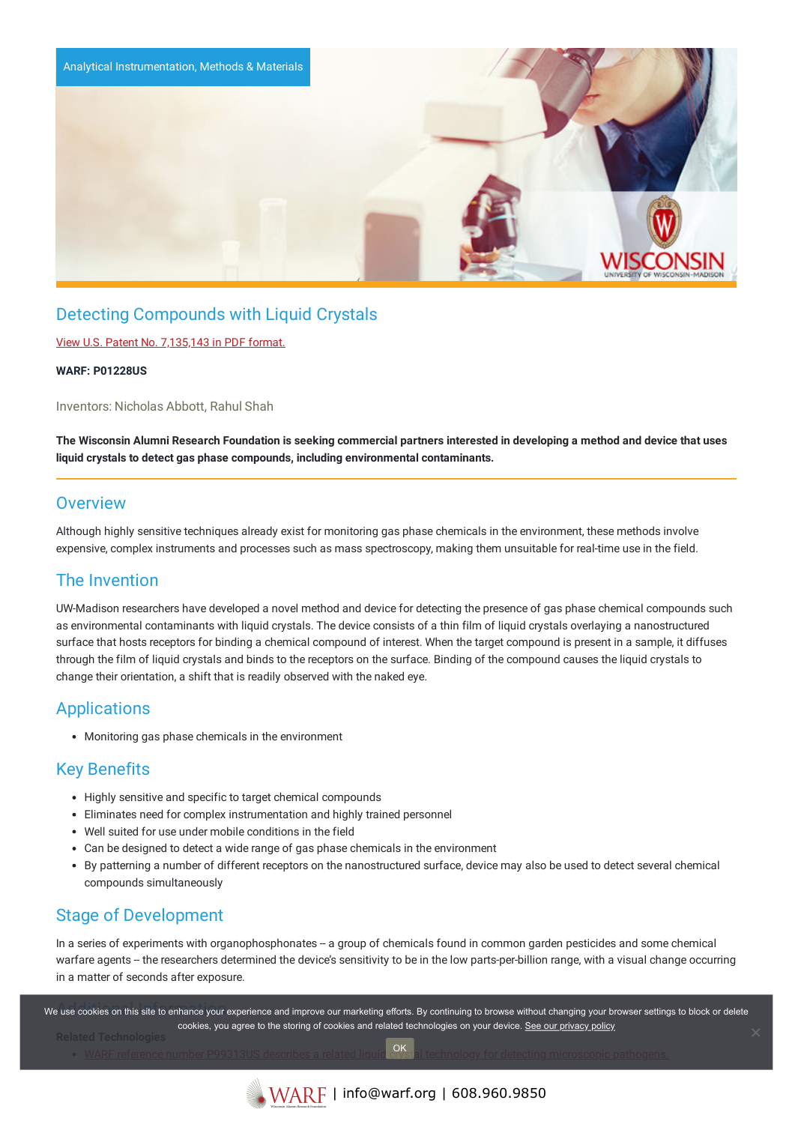

# Detecting Compounds with Liquid Crystals

View U.S. Patent No. [7,135,143](https://www.warf.org/wp-content/uploads/technologies/ipstatus/P01228US.PDF) in PDF format.

#### **WARF: P01228US**

Inventors: Nicholas Abbott, Rahul Shah

The Wisconsin Alumni Research Foundation is seeking commercial partners interested in developing a method and device that uses **liquid crystals to detect gas phase compounds, including environmental contaminants.**

#### **Overview**

Although highly sensitive techniques already exist for monitoring gas phase chemicals in the environment, these methods involve expensive, complex instruments and processes such as mass spectroscopy, making them unsuitable for real-time use in the field.

## The Invention

UW-Madison researchers have developed a novel method and device for detecting the presence of gas phase chemical compounds such as environmental contaminants with liquid crystals. The device consists of a thin film of liquid crystals overlaying a nanostructured surface that hosts receptors for binding a chemical compound of interest. When the target compound is present in a sample, it diffuses through the film of liquid crystals and binds to the receptors on the surface. Binding of the compound causes the liquid crystals to change their orientation, a shift that is readily observed with the naked eye.

## Applications

Monitoring gas phase chemicals in the environment

## Key Benefits

- Highly sensitive and specific to target chemical compounds
- Eliminates need for complex instrumentation and highly trained personnel
- Well suited for use under mobile conditions in the field
- Can be designed to detect a wide range of gas phase chemicals in the environment
- By patterning a number of different receptors on the nanostructured surface, device may also be used to detect several chemical compounds simultaneously

## Stage of Development

In a series of experiments with organophosphonates - a group of chemicals found in common garden pesticides and some chemical warfare agents - the researchers determined the device's sensitivity to be in the low parts-per-billion range, with a visual change occurring in a matter of seconds after exposure.

.<br>We use cookies on this site to enhance your experience and improve our marketing efforts. By continuing to browse without changing your browser settings to block or delete WARF reference number P99313US describes a related liquid crystal technology for detecting [microscopic](http://www.warf.org/technologies/summary/P99313US.cmsx) pathogens. cookies, you agree to the storing of cookies and related technologies on your device. [See our privacy policy](https://www.warf.org/privacy-policy/) OK